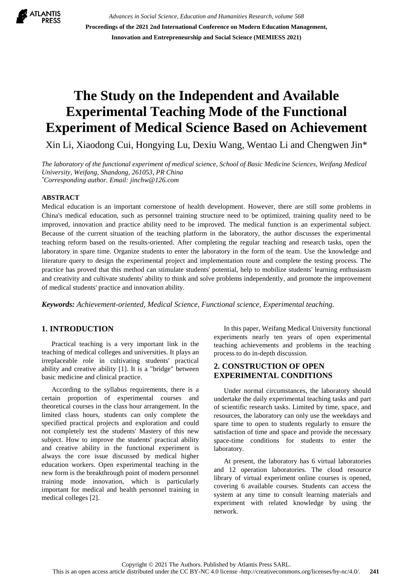

*Advances in Social Science, Education and Humanities Research, volume 568* **Proceedings of the 2021 2nd International Conference on Modern Education Management, Innovation and Entrepreneurship and Social Science (MEMIESS 2021)**

# **The Study on the Independent and Available Experimental Teaching Mode of the Functional Experiment of Medical Science Based on Achievement**

Xin Li, Xiaodong Cui, Hongying Lu, Dexiu Wang, Wentao Li and Chengwen Jin\*

*The laboratory of the functional experiment of medical science, School of Basic Medicine Sciences, Weifang Medical University, Weifang, Shandong, 261053, PR China \*Corresponding author. Email: jinchw@126.com*

## **ABSTRACT**

Medical education is an important cornerstone of health development. However, there are still some problems in China's medical education, such as personnel training structure need to be optimized, training quality need to be improved, innovation and practice ability need to be improved. The medical function is an experimental subject. Because of the current situation of the teaching platform in the laboratory, the author discusses the experimental teaching reform based on the results-oriented. After completing the regular teaching and research tasks, open the laboratory in spare time. Organize students to enter the laboratory in the form of the team. Use the knowledge and literature query to design the experimental project and implementation route and complete the testing process. The practice has proved that this method can stimulate students' potential, help to mobilize students' learning enthusiasm and creativity and cultivate students' ability to think and solve problems independently, and promote the improvement of medical students' practice and innovation ability.

*Keywords: Achievement-oriented, Medical Science, Functional science, Experimental teaching.*

## **1. INTRODUCTION**

Practical teaching is a very important link in the teaching of medical colleges and universities. It plays an irreplaceable role in cultivating students' practical ability and creative ability [1]. It is a "bridge" between basic medicine and clinical practice.

According to the syllabus requirements, there is a certain proportion of experimental courses and theoretical courses in the class hour arrangement. In the limited class hours, students can only complete the specified practical projects and exploration and could not completely test the students' Mastery of this new subject. How to improve the students' practical ability and creative ability in the functional experiment is always the core issue discussed by medical higher education workers. Open experimental teaching in the new form is the breakthrough point of modern personnel training mode innovation, which is particularly important for medical and health personnel training in medical colleges [2].

In this paper, Weifang Medical University functional experiments nearly ten years of open experimental teaching achievements and problems in the teaching process to do in-depth discussion.

# **2. CONSTRUCTION OF OPEN EXPERIMENTAL CONDITIONS**

Under normal circumstances, the laboratory should undertake the daily experimental teaching tasks and part of scientific research tasks. Limited by time, space, and resources, the laboratory can only use the weekdays and spare time to open to students regularly to ensure the satisfaction of time and space and provide the necessary space-time conditions for students to enter the laboratory.

At present, the laboratory has 6 virtual laboratories and 12 operation laboratories. The cloud resource library of virtual experiment online courses is opened, covering 6 available courses. Students can access the system at any time to consult learning materials and experiment with related knowledge by using the network.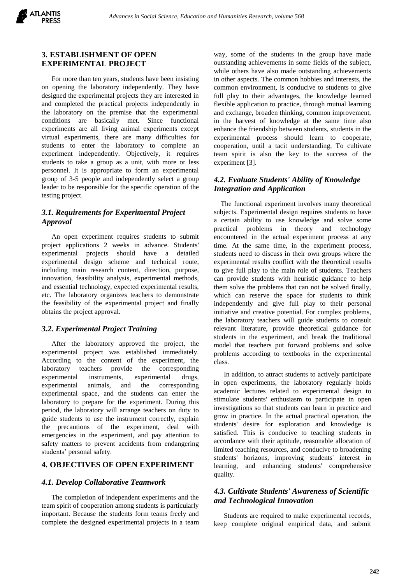

# **3. ESTABLISHMENT OF OPEN EXPERIMENTAL PROJECT**

For more than ten years, students have been insisting on opening the laboratory independently. They have designed the experimental projects they are interested in and completed the practical projects independently in the laboratory on the premise that the experimental conditions are basically met. Since functional experiments are all living animal experiments except virtual experiments, there are many difficulties for students to enter the laboratory to complete an experiment independently. Objectively, it requires students to take a group as a unit, with more or less personnel. It is appropriate to form an experimental group of 3-5 people and independently select a group leader to be responsible for the specific operation of the testing project.

# *3.1. Requirements for Experimental Project Approval*

An open experiment requires students to submit project applications 2 weeks in advance. Students' experimental projects should have a detailed experimental design scheme and technical route, including main research content, direction, purpose, innovation, feasibility analysis, experimental methods, and essential technology, expected experimental results, etc. The laboratory organizes teachers to demonstrate the feasibility of the experimental project and finally obtains the project approval.

## *3.2. Experimental Project Training*

After the laboratory approved the project, the experimental project was established immediately. According to the content of the experiment, the laboratory teachers provide the corresponding experimental instruments, experimental drugs, experimental animals, and the corresponding experimental space, and the students can enter the laboratory to prepare for the experiment. During this period, the laboratory will arrange teachers on duty to guide students to use the instrument correctly, explain the precautions of the experiment, deal with emergencies in the experiment, and pay attention to safety matters to prevent accidents from endangering students' personal safety.

#### **4. OBJECTIVES OF OPEN EXPERIMENT**

#### *4.1. Develop Collaborative Teamwork*

The completion of independent experiments and the team spirit of cooperation among students is particularly important. Because the students form teams freely and complete the designed experimental projects in a team way, some of the students in the group have made outstanding achievements in some fields of the subject, while others have also made outstanding achievements in other aspects. The common hobbies and interests, the common environment, is conducive to students to give full play to their advantages, the knowledge learned flexible application to practice, through mutual learning and exchange, broaden thinking, common improvement, in the harvest of knowledge at the same time also enhance the friendship between students, students in the experimental process should learn to cooperate, cooperation, until a tacit understanding, To cultivate team spirit is also the key to the success of the experiment [3].

# *4.2. Evaluate Students' Ability of Knowledge Integration and Application*

The functional experiment involves many theoretical subjects. Experimental design requires students to have a certain ability to use knowledge and solve some practical problems in theory and technology encountered in the actual experiment process at any time. At the same time, in the experiment process, students need to discuss in their own groups where the experimental results conflict with the theoretical results to give full play to the main role of students. Teachers can provide students with heuristic guidance to help them solve the problems that can not be solved finally, which can reserve the space for students to think independently and give full play to their personal initiative and creative potential. For complex problems, the laboratory teachers will guide students to consult relevant literature, provide theoretical guidance for students in the experiment, and break the traditional model that teachers put forward problems and solve problems according to textbooks in the experimental class.

In addition, to attract students to actively participate in open experiments, the laboratory regularly holds academic lectures related to experimental design to stimulate students' enthusiasm to participate in open investigations so that students can learn in practice and grow in practice. In the actual practical operation, the students' desire for exploration and knowledge is satisfied. This is conducive to teaching students in accordance with their aptitude, reasonable allocation of limited teaching resources, and conducive to broadening students' horizons, improving students' interest in learning, and enhancing students' comprehensive quality.

# *4.3. Cultivate Students' Awareness of Scientific and Technological Innovation*

Students are required to make experimental records, keep complete original empirical data, and submit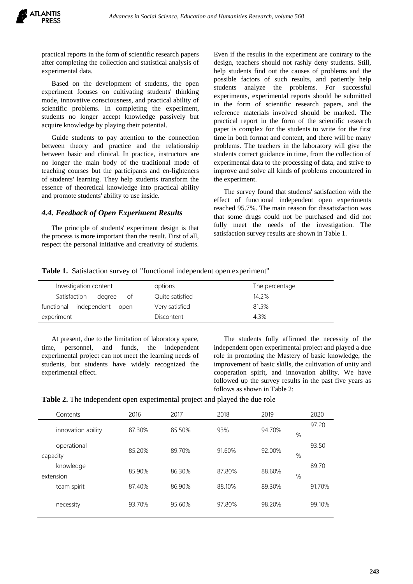practical reports in the form of scientific research papers after completing the collection and statistical analysis of experimental data.

Based on the development of students, the open experiment focuses on cultivating students' thinking mode, innovative consciousness, and practical ability of scientific problems. In completing the experiment, students no longer accept knowledge passively but acquire knowledge by playing their potential.

Guide students to pay attention to the connection between theory and practice and the relationship between basic and clinical. In practice, instructors are no longer the main body of the traditional mode of teaching courses but the participants and en-lighteners of students' learning. They help students transform the essence of theoretical knowledge into practical ability and promote students' ability to use inside.

# *4.4. Feedback of Open Experiment Results*

The principle of students' experiment design is that the process is more important than the result. First of all, respect the personal initiative and creativity of students.

Even if the results in the experiment are contrary to the design, teachers should not rashly deny students. Still, help students find out the causes of problems and the possible factors of such results, and patiently help students analyze the problems. For successful experiments, experimental reports should be submitted in the form of scientific research papers, and the reference materials involved should be marked. The practical report in the form of the scientific research paper is complex for the students to write for the first time in both format and content, and there will be many problems. The teachers in the laboratory will give the students correct guidance in time, from the collection of experimental data to the processing of data, and strive to improve and solve all kinds of problems encountered in the experiment.

The survey found that students' satisfaction with the effect of functional independent open experiments reached 95.7%. The main reason for dissatisfaction was that some drugs could not be purchased and did not fully meet the needs of the investigation. The satisfaction survey results are shown in Table 1.

## **Table 1.** Satisfaction survey of "functional independent open experiment"

| Investigation content          | options         | The percentage |
|--------------------------------|-----------------|----------------|
| Satisfaction<br>degree<br>ot o | Quite satisfied | 14.2%          |
| functional independent open    | Very satisfied  | 81.5%          |
| experiment                     | Discontent      | 4.3%           |

At present, due to the limitation of laboratory space, time, personnel, and funds, the independent experimental project can not meet the learning needs of students, but students have widely recognized the experimental effect.

The students fully affirmed the necessity of the independent open experimental project and played a due role in promoting the Mastery of basic knowledge, the improvement of basic skills, the cultivation of unity and cooperation spirit, and innovation ability. We have followed up the survey results in the past five years as follows as shown in Table 2:

| Table 2. The independent open experimental project and played the due role |  |  |
|----------------------------------------------------------------------------|--|--|
|----------------------------------------------------------------------------|--|--|

| Contents                | 2016   | 2017   | 2018   | 2019   |      | 2020   |
|-------------------------|--------|--------|--------|--------|------|--------|
| innovation ability      | 87.30% | 85.50% | 93%    | 94.70% | %    | 97.20  |
| operational<br>capacity | 85.20% | 89.70% | 91.60% | 92.00% | %    | 93.50  |
| knowledge<br>extension  | 85.90% | 86.30% | 87.80% | 88.60% | $\%$ | 89.70  |
| team spirit             | 87.40% | 86.90% | 88.10% | 89.30% |      | 91.70% |
| necessity               | 93.70% | 95.60% | 97.80% | 98.20% |      | 99.10% |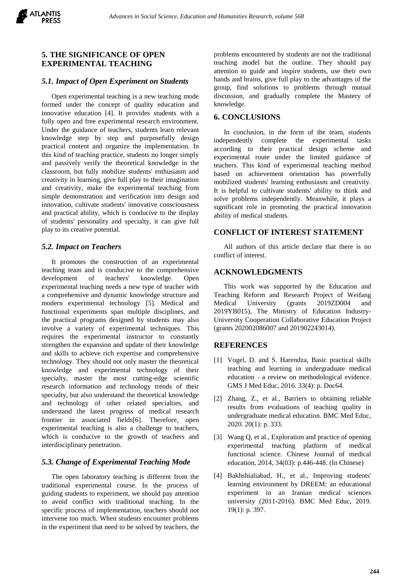

# **5. THE SIGNIFICANCE OF OPEN EXPERIMENTAL TEACHING**

#### *5.1. Impact of Open Experiment on Students*

Open experimental teaching is a new teaching mode formed under the concept of quality education and innovative education [4]. It provides students with a fully open and free experimental research environment. Under the guidance of teachers, students learn relevant knowledge step by step and purposefully design practical content and organize the implementation. In this kind of teaching practice, students no longer simply and passively verify the theoretical knowledge in the classroom, but fully mobilize students' enthusiasm and creativity in learning, give full play to their imagination and creativity, make the experimental teaching from simple demonstration and verification into design and innovation, cultivate students' innovative consciousness and practical ability, which is conducive to the display of students' personality and specialty, it can give full play to its creative potential.

## *5.2. Impact on Teachers*

It promotes the construction of an experimental teaching team and is conducive to the comprehensive development of teachers' knowledge. Open experimental teaching needs a new type of teacher with a comprehensive and dynamic knowledge structure and modern experimental technology [5]. Medical and functional experiments span multiple disciplines, and the practical programs designed by students may also involve a variety of experimental techniques. This requires the experimental instructor to constantly strengthen the expansion and update of their knowledge and skills to achieve rich expertise and comprehensive technology. They should not only master the theoretical knowledge and experimental technology of their specialty, master the most cutting-edge scientific research information and technology trends of their specialty, but also understand the theoretical knowledge and technology of other related specialties, and understand the latest progress of medical research frontier in associated fields[6]. Therefore, open experimental teaching is also a challenge to teachers, which is conducive to the growth of teachers and interdisciplinary penetration.

## *5.3. Change of Experimental Teaching Mode*

The open laboratory teaching is different from the traditional experimental course. In the process of guiding students to experiment, we should pay attention to avoid conflict with traditional teaching. In the specific process of implementation, teachers should not intervene too much. When students encounter problems in the experiment that need to be solved by teachers, the problems encountered by students are not the traditional teaching model but the outline. They should pay attention to guide and inspire students, use their own hands and brains, give full play to the advantages of the group, find solutions to problems through mutual discussion, and gradually complete the Mastery of knowledge.

# **6. CONCLUSIONS**

In conclusion, in the form of the team, students independently complete the experimental tasks according to their practical design scheme and experimental route under the limited guidance of teachers. This kind of experimental teaching method based on achievement orientation has powerfully mobilized students' learning enthusiasm and creativity. It is helpful to cultivate students' ability to think and solve problems independently. Meanwhile, it plays a significant role in promoting the practical innovation ability of medical students.

# **CONFLICT OF INTEREST STATEMENT**

All authors of this article declare that there is no conflict of interest.

## **ACKNOWLEDGMENTS**

This work was supported by the Education and Teaching Reform and Research Project of Weifang Medical University (grants 2019ZD004 and 2019YB015), The Ministry of Education Industry-University Cooperation Collaborative Education Project (grants 202002086007 and 201902243014).

#### **REFERENCES**

- [1] Vogel, D. and S. Harendza, Basic practical skills teaching and learning in undergraduate medical education - a review on methodological evidence. GMS J Med Educ, 2016. 33(4): p. Doc64.
- [2] Zhang, Z., et al., Barriers to obtaining reliable results from evaluations of teaching quality in undergraduate medical education. BMC Med Educ, 2020. 20(1): p. 333.
- [3] Wang Q, et al., Exploration and practice of opening experimental teaching platform of medical functional science. Chinese Journal of medical education, 2014, 34(03): p.446-448. (In Chinese)
- [4] Bakhshialiabad, H., et al., Improving students' learning environment by DREEM: an educational experiment in an Iranian medical sciences university (2011-2016). BMC Med Educ, 2019. 19(1): p. 397.